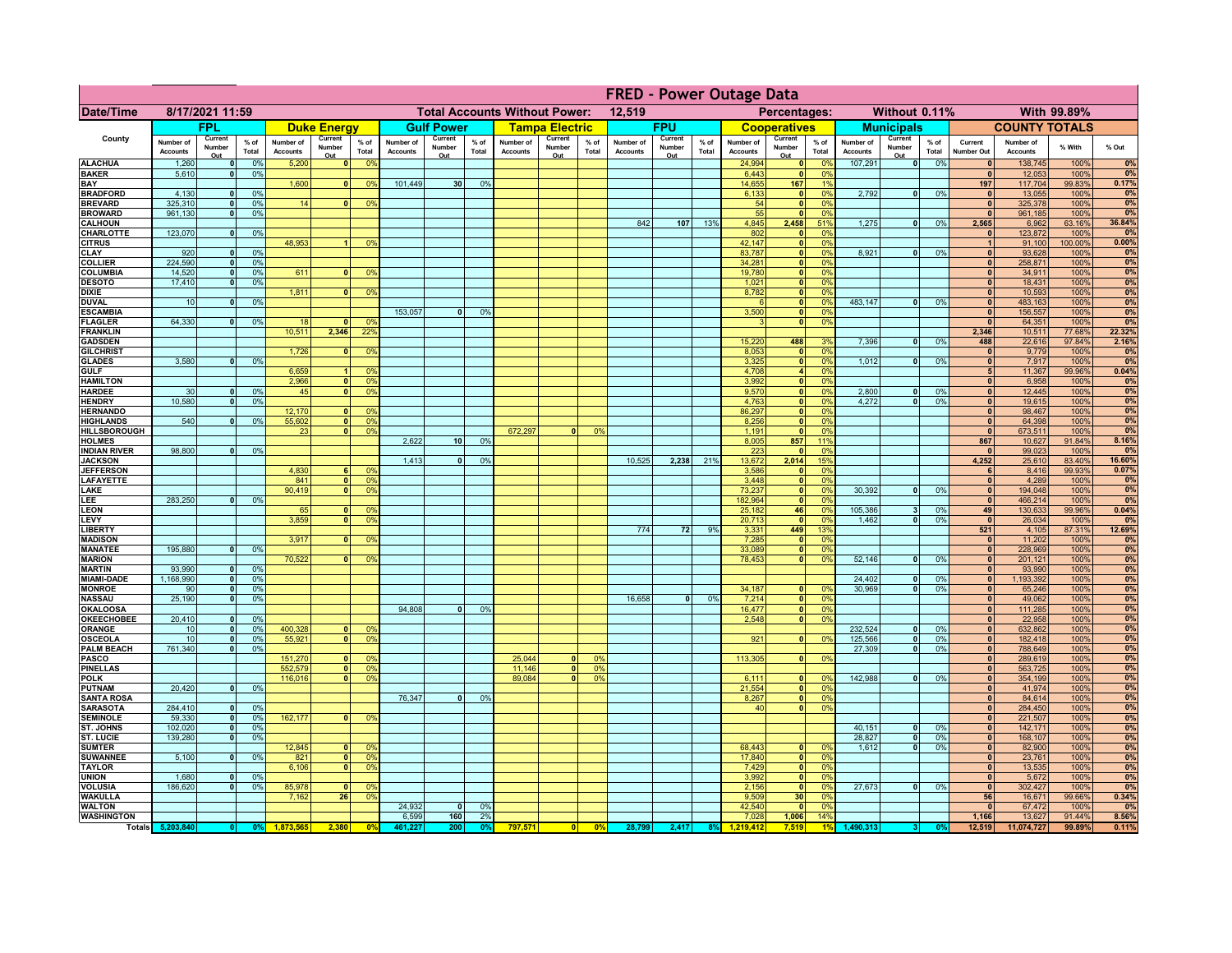|                                         |                              |                              |                      |                              |                                |                                                |                              | <b>FRED - Power Outage Data</b> |                 |                              |                                              |                                  |                              |                          |               |                              |                          |                             |                              |                          |                 |                              |                              |                  |                 |
|-----------------------------------------|------------------------------|------------------------------|----------------------|------------------------------|--------------------------------|------------------------------------------------|------------------------------|---------------------------------|-----------------|------------------------------|----------------------------------------------|----------------------------------|------------------------------|--------------------------|---------------|------------------------------|--------------------------|-----------------------------|------------------------------|--------------------------|-----------------|------------------------------|------------------------------|------------------|-----------------|
| <b>Date/Time</b>                        | 8/17/2021 11:59              |                              |                      |                              |                                | <b>Total Accounts Without Power:</b><br>12,519 |                              |                                 |                 |                              | Percentages:<br>Without 0.11%<br>With 99.89% |                                  |                              |                          |               |                              |                          |                             |                              |                          |                 |                              |                              |                  |                 |
|                                         |                              | FPL                          |                      |                              | <b>Duke Energy</b>             |                                                |                              | <b>Gulf Power</b>               |                 |                              | <b>Tampa Electric</b>                        |                                  |                              | <b>FPU</b>               |               |                              | <b>Cooperatives</b>      |                             |                              | <b>Municipals</b>        |                 |                              | <b>COUNTY TOTALS</b>         |                  |                 |
| County                                  | Number of<br><b>Accounts</b> | Current<br>Number<br>Out     | $%$ of<br>Total      | Number of<br><b>Accounts</b> | Current<br>Number<br>Out       | $%$ of<br>Total                                | Number of<br><b>Accounts</b> | Current<br>Number<br>Out        | $%$ of<br>Total | Number of<br><b>Accounts</b> | Current<br>Number<br>Out                     | % of<br>Total                    | Number of<br><b>Accounts</b> | Current<br>Number<br>Out | % of<br>Total | Number of<br><b>Accounts</b> | Current<br>Number<br>Out | $%$ of<br>Total             | Number of<br><b>Accounts</b> | Current<br>Number<br>Out | $%$ of<br>Total | Current<br><b>Number Out</b> | Number of<br><b>Accounts</b> | % With           | % Out           |
| <b>ALACHUA</b>                          | 1,260                        | $\mathbf{0}$                 | 0%                   | 5,200                        | 0                              | 0 <sup>9</sup>                                 |                              |                                 |                 |                              |                                              |                                  |                              |                          |               | 24,994                       | 0                        | 0%                          | 107,291                      | $\overline{\bullet}$     | 0%              | 0                            | 138,745                      | 100%             | 0%              |
| <b>BAKER</b><br>BAY                     | 5,610                        | $\Omega$                     | 0%                   | 1,600                        | $\mathbf{0}$                   | 0 <sup>9</sup>                                 | 101,449                      | 30 <sup>°</sup>                 | 0%              |                              |                                              |                                  |                              |                          |               | 6,443<br>14,655              | 0 <br>167                | 0%<br>1%                    |                              |                          |                 | $\mathbf{0}$<br>197          | 12,053<br>117,704            | 100%<br>99.83%   | 0%<br>0.17%     |
| <b>BRADFORD</b>                         | 4,130                        | $\mathbf{0}$                 | 0%                   |                              |                                |                                                |                              |                                 |                 |                              |                                              |                                  |                              |                          |               | 6,133                        | $\mathbf{0}$             | 0%                          | 2,792                        | 0                        | 0%              | $\mathbf{0}$                 | 13,055                       | 100%             | 0%              |
| <b>BREVARD</b>                          | 325,310                      | $\Omega$                     | 0%                   | 14                           | 0                              | 0%                                             |                              |                                 |                 |                              |                                              |                                  |                              |                          |               | 54                           | 0                        | 0%                          |                              |                          |                 | 0                            | 325,378                      | 100%             | 0%              |
| <b>BROWARD</b><br><b>CALHOUN</b>        | 961,130                      | $\mathbf{0}$                 | 0%                   |                              |                                |                                                |                              |                                 |                 |                              |                                              |                                  | 842                          | 107                      | 13%           | 55<br>4,845                  | 0 <br>2,458              | 0%<br>519                   | 1,275                        | -ol                      | 0%              | $\mathbf{0}$<br>2,565        | 961,185<br>6,962             | 100%<br>63.16%   | 0%<br>36.84%    |
| CHARLOTTE                               | 123,070                      | 0                            | 0%                   |                              |                                |                                                |                              |                                 |                 |                              |                                              |                                  |                              |                          |               | 802                          | 0                        | 0%                          |                              |                          |                 | $\mathbf{0}$                 | 123,872                      | 100%             | 0%              |
| <b>CITRUS</b>                           |                              |                              |                      | 48,953                       |                                | 0 <sup>9</sup>                                 |                              |                                 |                 |                              |                                              |                                  |                              |                          |               | 42,147<br>83,787             | 0                        | 0%<br>0%                    | 8,921                        | -ol                      | 0%              | $\mathbf{0}$                 | 91,100                       | 100.00%          | 0.00%           |
| <b>CLAY</b><br><b>COLLIER</b>           | 920<br>224,590               |                              | 0%<br>0 <sup>9</sup> |                              |                                |                                                |                              |                                 |                 |                              |                                              |                                  |                              |                          |               | 34,281                       | 0 <br>$\mathbf{0}$       | 0%                          |                              |                          |                 | $\bf{0}$                     | 93,628<br>258,871            | 100%<br>100%     | 0%<br>0%        |
| <b>COLUMBIA</b>                         | 14,520                       |                              | 0%                   | 611                          |                                | 0 <sup>9</sup>                                 |                              |                                 |                 |                              |                                              |                                  |                              |                          |               | 19,780                       | $\mathbf{0}$             | 0%                          |                              |                          |                 | $\bf{0}$                     | 34,911                       | 100%             | 0%              |
| <b>DESOTO</b>                           | 17,410                       | $\Omega$                     | 0%                   |                              |                                |                                                |                              |                                 |                 |                              |                                              |                                  |                              |                          |               | 1,021                        | $\pmb{0}$                | 0%                          |                              |                          |                 | $\Omega$                     | 18,431                       | 100%             | 0%              |
| <b>DIXIE</b><br><b>DUVAL</b>            | 10                           |                              | 0%                   | 1,811                        | $\mathbf{0}$                   | 0 <sup>9</sup>                                 |                              |                                 |                 |                              |                                              |                                  |                              |                          |               | 8,782                        | $\mathbf{0}$<br> 0       | 0%<br>0%                    | 483,147                      | -ol                      | 0%              | $\bf{0}$<br>$\mathbf{0}$     | 10,593<br>483,163            | 100%<br>100%     | 0%<br>0%        |
| <b>ESCAMBIA</b>                         |                              |                              |                      |                              |                                |                                                | 153,057                      | $\mathbf{0}$                    | 0%              |                              |                                              |                                  |                              |                          |               | 3,500                        | 0                        | 0%                          |                              |                          |                 | $\mathbf{0}$                 | 156,557                      | 100%             | 0%              |
| <b>FLAGLER</b>                          | 64,330                       | $\mathbf{0}$                 | 0%                   | 18                           |                                | 0 <sup>9</sup>                                 |                              |                                 |                 |                              |                                              |                                  |                              |                          |               | $\mathbf{R}$                 | 0                        | 0%                          |                              |                          |                 | $\Omega$                     | 64,351                       | 100%             | 0%              |
| <b>FRANKLIN</b><br><b>GADSDEN</b>       |                              |                              |                      | 10,511                       | 2,346                          | 22%                                            |                              |                                 |                 |                              |                                              |                                  |                              |                          |               | 15,220                       | 488                      | 3%                          | 7,396                        | - o l                    | 0%              | 2,346<br>488                 | 10,511<br>22,616             | 77.68%<br>97.84% | 22.32%<br>2.16% |
| <b>GILCHRIST</b>                        |                              |                              |                      | 1.726                        | $\Omega$                       | 0 <sup>9</sup>                                 |                              |                                 |                 |                              |                                              |                                  |                              |                          |               | 8.053                        | 0                        | 0%                          |                              |                          |                 | 0                            | 9,779                        | 100%             | 0%              |
| <b>GLADES</b>                           | 3,580                        | $\Omega$                     | 0%                   |                              |                                |                                                |                              |                                 |                 |                              |                                              |                                  |                              |                          |               | 3,325                        | 0                        | 0%                          | 1,012                        | $\lceil 0 \rceil$        | 0%              | 0                            | 7,917                        | 100%             | 0%              |
| <b>GULF</b><br><b>HAMILTON</b>          |                              |                              |                      | 6,659<br>2,966               | $\overline{1}$<br> 0           | 0 <sup>9</sup><br>0 <sup>9</sup>               |                              |                                 |                 |                              |                                              |                                  |                              |                          |               | 4,708<br>3,992               | $\overline{4}$<br> 0     | 0%<br>0%                    |                              |                          |                 | 5 <sup>1</sup><br> 0         | 11,367<br>6,958              | 99.96%<br>100%   | 0.04%<br>0%     |
| <b>HARDEE</b>                           | 30                           | $\Omega$                     | 0%                   | 45                           | $\overline{\mathbf{0}}$        | 0%                                             |                              |                                 |                 |                              |                                              |                                  |                              |                          |               | 9,570                        | 0                        | 0%                          | 2,800                        | $\mathbf{0}$             | 0%              | 0                            | 12,445                       | 100%             | 0%              |
| <b>HENDRY</b>                           | 10.580                       | $\overline{0}$               | 0%                   |                              |                                |                                                |                              |                                 |                 |                              |                                              |                                  |                              |                          |               | 4,763                        | 0                        | 0%                          | 4.272                        | $\overline{0}$           | 0%              | 0                            | 19,615                       | 100%             | 0%              |
| <b>HERNANDO</b>                         |                              | $\Omega$                     |                      | 12,170                       | n l<br>$\overline{\mathbf{0}}$ | 0 <sup>9</sup>                                 |                              |                                 |                 |                              |                                              |                                  |                              |                          |               | 86,297                       | $\overline{\mathbf{0}}$  | 0%<br>0%                    |                              |                          |                 | 0 <br> 0                     | 98,467                       | 100%             | 0%<br>0%        |
| <b>HIGHLANDS</b><br><b>HILLSBOROUGH</b> | 540                          |                              | 0%                   | 55,602<br>23                 | $\mathbf{0}$                   | 0 <sup>9</sup><br>0 <sup>9</sup>               |                              |                                 |                 | 672,297                      | $\Omega$                                     | 0%                               |                              |                          |               | 8,256<br>1,191               | 0 <br>$\mathbf{0}$       | 0%                          |                              |                          |                 | $\mathbf{0}$                 | 64,398<br>673,511            | 100%<br>100%     | 0%              |
| <b>HOLMES</b>                           |                              |                              |                      |                              |                                |                                                | 2,622                        | 10 <sup>1</sup>                 | 0%              |                              |                                              |                                  |                              |                          |               | 8,005                        | 857                      | 11%                         |                              |                          |                 | 867                          | 10,627                       | 91.84%           | 8.16%           |
| <b>INDIAN RIVER</b>                     | 98,800                       |                              | 0%                   |                              |                                |                                                |                              |                                 |                 |                              |                                              |                                  |                              |                          |               | 223                          | $\mathbf{0}$             | 0%                          |                              |                          |                 | $\mathbf{0}$                 | 99,023                       | 100%             | 0%              |
| <b>JACKSON</b><br><b>JEFFERSON</b>      |                              |                              |                      | 4,830                        |                                | 0 <sup>9</sup>                                 | 1,413                        |                                 | 0%              |                              |                                              |                                  | 10.525                       | 2,238                    | 21%           | 13,672<br>3,586              | 2,014<br>$\mathbf{0}$    | 15%<br>0%                   |                              |                          |                 | 4,252<br>6 <sup>1</sup>      | 25,610<br>8,416              | 83.40%<br>99.93% | 16.60%<br>0.07% |
| <b>LAFAYETTE</b>                        |                              |                              |                      | 841                          | $\mathbf{0}$                   | 0 <sup>9</sup>                                 |                              |                                 |                 |                              |                                              |                                  |                              |                          |               | 3,448                        | 0                        | 0%                          |                              |                          |                 | 0                            | 4,289                        | 100%             | 0%              |
| LAKE                                    |                              |                              |                      | 90,419                       | $\mathbf{0}$                   | 0 <sup>9</sup>                                 |                              |                                 |                 |                              |                                              |                                  |                              |                          |               | 73,237                       | 0                        | 0%                          | 30,392                       | $\overline{0}$           | 0%              | 0                            | 194,048                      | 100%             | 0%              |
| LEE<br><b>LEON</b>                      | 283,250                      | $\Omega$                     | 0%                   | 65                           | $\mathbf{0}$                   | 0 <sup>9</sup>                                 |                              |                                 |                 |                              |                                              |                                  |                              |                          |               | 182,964<br>25,182            | 0 <br>46                 | 0%<br>0%                    | 105,386                      | -31                      | 0%              | 0 <br>49                     | 466,214<br>130,633           | 100%<br>99.96%   | 0%<br>0.04%     |
| LEVY                                    |                              |                              |                      | 3,859                        | $\overline{0}$                 | 0 <sup>9</sup>                                 |                              |                                 |                 |                              |                                              |                                  |                              |                          |               | 20,713                       | $\mathbf{0}$             | 0%                          | 1,462                        | - O I                    | 0%              | 0                            | 26,034                       | 100%             | 0%              |
| <b>LIBERTY</b>                          |                              |                              |                      |                              |                                |                                                |                              |                                 |                 |                              |                                              |                                  | 774                          | 72                       | 9%            | 3,331                        | 449                      | 13%                         |                              |                          |                 | 521                          | 4,105                        | 87.31%           | 12.69%          |
| <b>MADISON</b><br><b>MANATEE</b>        | 195,880                      | $\mathbf{0}$                 | 0%                   | 3,917                        | $\Omega$                       | 0 <sup>9</sup>                                 |                              |                                 |                 |                              |                                              |                                  |                              |                          |               | 7,285<br>33,089              | 0                        | 0%<br>0%                    |                              |                          |                 | 0 <br> 0                     | 11,202                       | 100%<br>100%     | 0%<br>0%        |
| <b>MARION</b>                           |                              |                              |                      | 70,522                       | $\Omega$                       | 0%                                             |                              |                                 |                 |                              |                                              |                                  |                              |                          |               | 78,453                       | 0 <br> 0                 | 0%                          | 52,146                       | 0                        | 0%              | 0                            | 228,969<br>201,121           | 100%             | 0%              |
| <b>MARTIN</b>                           | 93,990                       | 0                            | 0%                   |                              |                                |                                                |                              |                                 |                 |                              |                                              |                                  |                              |                          |               |                              |                          |                             |                              |                          |                 | 0                            | 93,990                       | 100%             | 0%              |
| <b>MIAMI-DADE</b>                       | 1,168,990                    | 0                            | 0%                   |                              |                                |                                                |                              |                                 |                 |                              |                                              |                                  |                              |                          |               |                              |                          |                             | 24,402<br>30,969             | 0                        | 0%              | 0                            | 1,193,392                    | 100%<br>100%     | 0%<br>0%        |
| <b>MONROE</b><br><b>NASSAU</b>          | 90<br>25,190                 | 0 <br>0                      | 0%<br>0%             |                              |                                |                                                |                              |                                 |                 |                              |                                              |                                  | 16,658                       | 0                        | 0%            | 34,187<br>7,214              | 0 <br> 0                 | $\Omega$ <sup>9</sup><br>0% |                              | - O I                    | 0%              | 0 <br> 0                     | 65,246<br>49,062             | 100%             | 0%              |
| <b>OKALOOSA</b>                         |                              |                              |                      |                              |                                |                                                | 94,808                       | 0                               | 0%              |                              |                                              |                                  |                              |                          |               | 16,477                       | 0                        | 0%                          |                              |                          |                 | 0                            | 111,285                      | 100%             | 0%              |
| <b>OKEECHOBEE</b>                       | 20,410                       | - O I                        | 0%                   |                              |                                |                                                |                              |                                 |                 |                              |                                              |                                  |                              |                          |               | 2,548                        | 0                        | 0%                          |                              |                          |                 | 0                            | 22,958                       | 100%             | 0%              |
| <b>ORANGE</b><br><b>OSCEOLA</b>         | 10<br>10                     | 0 <br>- O I                  | 0%<br>0%             | 400,328<br>55,921            | $\mathbf{0}$<br>$\overline{0}$ | 0 <sup>9</sup><br>0 <sup>9</sup>               |                              |                                 |                 |                              |                                              |                                  |                              |                          |               | 921                          | 0                        | 0%                          | 232,524<br>125,566           | 0 <br> 0                 | 0%<br>0%        | 0 <br> 0                     | 632,862<br>182,418           | 100%<br>100%     | 0%<br>0%        |
| <b>PALM BEACH</b>                       | 761,340                      | $\overline{0}$               | 0%                   |                              |                                |                                                |                              |                                 |                 |                              |                                              |                                  |                              |                          |               |                              |                          |                             | 27,309                       | - o l                    | 0%              | 0                            | 788,649                      | 100%             | 0%              |
| <b>PASCO</b>                            |                              |                              |                      | 151,270                      | $\mathbf{0}$                   | 0 <sup>9</sup>                                 |                              |                                 |                 | 25,044                       | $\mathbf{0}$                                 | $^{\circ}$                       |                              |                          |               | 113,305                      | 0                        | 0%                          |                              |                          |                 | 0                            | 289,619                      | 100%             | 0%              |
| <b>PINELLAS</b><br><b>POLK</b>          |                              |                              |                      | 552,579<br>116,016           | 0 <br>$\mathbf{0}$             | 0 <sup>9</sup><br>0%                           |                              |                                 |                 | 11,146<br>89,084             | $\mathbf{0}$<br>$\Omega$                     | 0 <sup>9</sup><br>0 <sup>9</sup> |                              |                          |               | 6,111                        | 0                        | 0 <sup>9</sup>              | 142,988                      | 0                        | 0%              | 0 <br> 0                     | 563,725<br>354,199           | 100%<br>100%     | 0%<br>0%        |
| <b>PUTNAM</b>                           | 20,420                       | 0                            | 0%                   |                              |                                |                                                |                              |                                 |                 |                              |                                              |                                  |                              |                          |               | 21,554                       | 0                        | 0%                          |                              |                          |                 | 0                            | 41,974                       | 100%             | 0%              |
| <b>SANTA ROSA</b>                       |                              |                              |                      |                              |                                |                                                | 76,347                       | $\mathbf{0}$                    | 0%              |                              |                                              |                                  |                              |                          |               | 8,267                        | 0                        | 0%                          |                              |                          |                 | 0                            | 84,614                       | 100%             | 0%              |
| <b>SARASOTA</b>                         | 284,410                      | $\mathbf{0}$                 | 0%                   |                              |                                |                                                |                              |                                 |                 |                              |                                              |                                  |                              |                          |               | 40                           | 0                        | 0%                          |                              |                          |                 | $\mathbf{0}$                 | 284,450                      | 100%             | 0%              |
| <b>SEMINOLE</b><br>ST. JOHNS            | 59,330<br>102,020            | $\mathbf{0}$<br>$\mathbf{0}$ | 0%<br>0%             | 162,177                      | $\mathbf{0}$                   | 0 <sup>9</sup>                                 |                              |                                 |                 |                              |                                              |                                  |                              |                          |               |                              |                          |                             | 40,151                       | $\mathbf{0}$             | 0%              | $\Omega$<br> 0               | 221,507<br>142,171           | 100%<br>100%     | 0%<br>0%        |
| <b>ST. LUCIE</b>                        | 139,280                      | $\mathbf{0}$                 | 0%                   |                              |                                |                                                |                              |                                 |                 |                              |                                              |                                  |                              |                          |               |                              |                          |                             | 28,827                       | 0                        | 0%              | $\mathbf{0}$                 | 168,107                      | 100%             | 0%              |
| <b>SUMTER</b>                           | 5,100                        |                              |                      | 12,845                       |                                | 0 <sup>6</sup>                                 |                              |                                 |                 |                              |                                              |                                  |                              |                          |               | 68,443                       | $\mathbf{0}$             | 0 <sup>9</sup>              | 1,612                        | - o l                    | 0%              | $\mathbf{0}$<br>$\mathbf{0}$ | 82,900                       | 100%             | 0%              |
| <b>SUWANNEE</b><br><b>TAYLOR</b>        |                              | $\mathbf{0}$                 | 0%                   | 821<br>6,106                 | $\mathbf{0}$<br>$\mathbf{0}$   | 0 <sup>9</sup><br>0 <sup>9</sup>               |                              |                                 |                 |                              |                                              |                                  |                              |                          |               | 17,840<br>7,429              | 0 <br> 0                 | 0%<br>0%                    |                              |                          |                 | $\mathbf{0}$                 | 23,761<br>13,535             | 100%<br>100%     | 0%<br>0%        |
| <b>UNION</b>                            | 1,680                        |                              | 0%                   |                              |                                |                                                |                              |                                 |                 |                              |                                              |                                  |                              |                          |               | 3,992                        | 0                        | 0%                          |                              |                          |                 | $\mathbf{0}$                 | 5,672                        | 100%             | 0%              |
| <b>VOLUSIA</b>                          | 186,620                      |                              | 0%                   | 85,978                       | $\Omega$                       | 0 <sup>9</sup>                                 |                              |                                 |                 |                              |                                              |                                  |                              |                          |               | 2,156                        | 0                        | 0%                          | 27,673                       | 0                        | 0%              | $\mathbf{0}$                 | 302,427                      | 100%             | 0%              |
| <b>WAKULLA</b><br><b>WALTON</b>         |                              |                              |                      | 7,162                        | 26                             | 0 <sup>9</sup>                                 | 24,932                       | $\mathbf{0}$                    | 0%              |                              |                                              |                                  |                              |                          |               | 9,509<br>42,540              | 30<br> 0                 | 0%<br>0%                    |                              |                          |                 | 56<br>$\mathbf{0}$           | 16,671<br>67,472             | 99.66%<br>100%   | 0.34%<br>0%     |
| <b>WASHINGTON</b>                       |                              |                              |                      |                              |                                |                                                | 6,599                        | 160                             | 2%              |                              |                                              |                                  |                              |                          |               | 7,028                        | 1,006                    | 14%                         |                              |                          |                 | 1,166                        | 13,627                       | 91.44%           | 8.56%           |
|                                         | Totals 5,203,840             | 0                            | 0%                   |                              | 2,380                          | 0 <sup>o</sup>                                 | 461,22                       | 200                             | 0%              | 797,571                      | 0                                            | 0%                               | 28,799                       | 2,417                    | 8%            | 1.219.412                    | 7,519                    |                             | 1,490,313                    |                          |                 | 12,519                       | 11,074,727                   | 99.89%           | 0.11%           |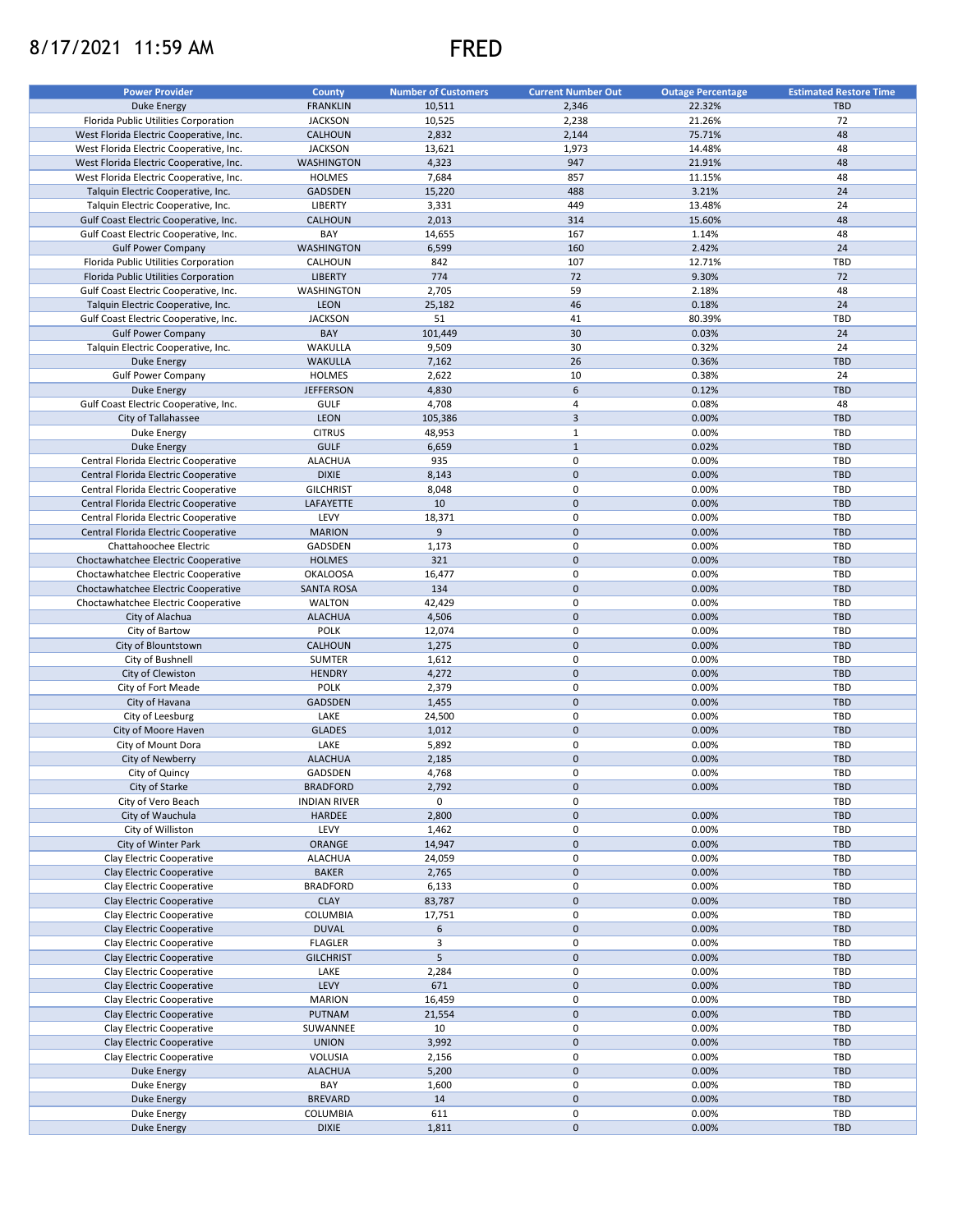## 8/17/2021 11:59 AM FRED



| <b>Power Provider</b>                   | County              | <b>Number of Customers</b> | <b>Current Number Out</b> | <b>Outage Percentage</b> | <b>Estimated Restore Time</b> |
|-----------------------------------------|---------------------|----------------------------|---------------------------|--------------------------|-------------------------------|
| <b>Duke Energy</b>                      | <b>FRANKLIN</b>     | 10,511                     | 2,346                     | 22.32%                   | <b>TBD</b>                    |
| Florida Public Utilities Corporation    | <b>JACKSON</b>      | 10,525                     | 2,238                     | 21.26%                   | 72                            |
| West Florida Electric Cooperative, Inc. | CALHOUN             | 2,832                      | 2,144                     | 75.71%                   | 48                            |
|                                         |                     |                            |                           |                          | 48                            |
| West Florida Electric Cooperative, Inc. | <b>JACKSON</b>      | 13,621                     | 1,973                     | 14.48%                   |                               |
| West Florida Electric Cooperative, Inc. | <b>WASHINGTON</b>   | 4,323                      | 947                       | 21.91%                   | 48                            |
| West Florida Electric Cooperative, Inc. | <b>HOLMES</b>       | 7,684                      | 857                       | 11.15%                   | 48                            |
| Talquin Electric Cooperative, Inc.      | <b>GADSDEN</b>      | 15,220                     | 488                       | 3.21%                    | 24                            |
| Talquin Electric Cooperative, Inc.      | <b>LIBERTY</b>      | 3,331                      | 449                       | 13.48%                   | 24                            |
| Gulf Coast Electric Cooperative, Inc.   | CALHOUN             | 2,013                      | 314                       | 15.60%                   | 48                            |
| Gulf Coast Electric Cooperative, Inc.   | BAY                 | 14,655                     | 167                       | 1.14%                    | 48                            |
| <b>Gulf Power Company</b>               | <b>WASHINGTON</b>   | 6,599                      | 160                       | 2.42%                    | 24                            |
| Florida Public Utilities Corporation    | CALHOUN             | 842                        | 107                       | 12.71%                   | TBD                           |
| Florida Public Utilities Corporation    | <b>LIBERTY</b>      | 774                        | 72                        | 9.30%                    | 72                            |
| Gulf Coast Electric Cooperative, Inc.   | WASHINGTON          | 2,705                      | 59                        | 2.18%                    | 48                            |
| Talquin Electric Cooperative, Inc.      | LEON                | 25,182                     | 46                        | 0.18%                    | 24                            |
| Gulf Coast Electric Cooperative, Inc.   | <b>JACKSON</b>      | 51                         | 41                        | 80.39%                   | TBD                           |
| <b>Gulf Power Company</b>               | BAY                 | 101,449                    | 30                        | 0.03%                    | 24                            |
| Talquin Electric Cooperative, Inc.      | WAKULLA             | 9,509                      | 30                        | 0.32%                    | 24                            |
| Duke Energy                             | <b>WAKULLA</b>      | 7,162                      | 26                        | 0.36%                    | <b>TBD</b>                    |
| <b>Gulf Power Company</b>               | <b>HOLMES</b>       | 2,622                      | 10                        | 0.38%                    | 24                            |
|                                         | <b>JEFFERSON</b>    |                            | 6                         | 0.12%                    | <b>TBD</b>                    |
| Duke Energy                             |                     | 4,830                      |                           |                          |                               |
| Gulf Coast Electric Cooperative, Inc.   | <b>GULF</b>         | 4,708                      | $\sqrt{4}$                | 0.08%                    | 48                            |
| City of Tallahassee                     | <b>LEON</b>         | 105,386                    | $\mathsf 3$               | 0.00%                    | <b>TBD</b>                    |
| Duke Energy                             | <b>CITRUS</b>       | 48,953                     | $\mathbf{1}$              | 0.00%                    | <b>TBD</b>                    |
| <b>Duke Energy</b>                      | <b>GULF</b>         | 6,659                      | $\mathbf{1}$              | 0.02%                    | <b>TBD</b>                    |
| Central Florida Electric Cooperative    | <b>ALACHUA</b>      | 935                        | 0                         | 0.00%                    | TBD                           |
| Central Florida Electric Cooperative    | <b>DIXIE</b>        | 8,143                      | $\pmb{0}$                 | 0.00%                    | <b>TBD</b>                    |
| Central Florida Electric Cooperative    | <b>GILCHRIST</b>    | 8,048                      | 0                         | 0.00%                    | <b>TBD</b>                    |
| Central Florida Electric Cooperative    | LAFAYETTE           | 10                         | $\mathsf 0$               | 0.00%                    | <b>TBD</b>                    |
| Central Florida Electric Cooperative    | LEVY                | 18,371                     | 0                         | 0.00%                    | TBD                           |
| Central Florida Electric Cooperative    | <b>MARION</b>       | 9                          | $\mathsf 0$               | 0.00%                    | <b>TBD</b>                    |
| Chattahoochee Electric                  | GADSDEN             | 1,173                      | 0                         | 0.00%                    | TBD                           |
|                                         | <b>HOLMES</b>       | 321                        | $\pmb{0}$                 | 0.00%                    | <b>TBD</b>                    |
| Choctawhatchee Electric Cooperative     |                     |                            |                           |                          |                               |
| Choctawhatchee Electric Cooperative     | <b>OKALOOSA</b>     | 16,477                     | 0                         | 0.00%                    | TBD                           |
| Choctawhatchee Electric Cooperative     | <b>SANTA ROSA</b>   | 134                        | $\pmb{0}$                 | 0.00%                    | <b>TBD</b>                    |
| Choctawhatchee Electric Cooperative     | <b>WALTON</b>       | 42,429                     | 0                         | 0.00%                    | TBD                           |
| City of Alachua                         | <b>ALACHUA</b>      | 4,506                      | $\pmb{0}$                 | 0.00%                    | <b>TBD</b>                    |
| City of Bartow                          | <b>POLK</b>         | 12,074                     | $\pmb{0}$                 | 0.00%                    | TBD                           |
| City of Blountstown                     | CALHOUN             | 1,275                      | $\mathsf 0$               | 0.00%                    | <b>TBD</b>                    |
| City of Bushnell                        | <b>SUMTER</b>       | 1,612                      | 0                         | 0.00%                    | TBD                           |
| City of Clewiston                       | <b>HENDRY</b>       | 4,272                      | $\pmb{0}$                 | 0.00%                    | <b>TBD</b>                    |
| City of Fort Meade                      | <b>POLK</b>         | 2,379                      | 0                         | 0.00%                    | TBD                           |
| City of Havana                          | GADSDEN             | 1,455                      | $\pmb{0}$                 | 0.00%                    | <b>TBD</b>                    |
| City of Leesburg                        | LAKE                | 24,500                     | 0                         | 0.00%                    | TBD                           |
| City of Moore Haven                     | <b>GLADES</b>       | 1,012                      | $\mathsf 0$               | 0.00%                    | <b>TBD</b>                    |
| City of Mount Dora                      | LAKE                | 5,892                      | 0                         | 0.00%                    | TBD                           |
| City of Newberry                        | <b>ALACHUA</b>      | 2,185                      | $\pmb{0}$                 | 0.00%                    | <b>TBD</b>                    |
|                                         |                     |                            | $\mathbf 0$               |                          | TBD                           |
| City of Quincy                          | GADSDEN             | 4,768                      |                           | 0.00%                    |                               |
| City of Starke                          | <b>BRADFORD</b>     | 2,792                      | $\pmb{0}$                 | 0.00%                    | <b>TBD</b>                    |
| City of Vero Beach                      | <b>INDIAN RIVER</b> | 0                          | 0                         |                          | TBD                           |
| City of Wauchula                        | <b>HARDEE</b>       | 2,800                      | $\mathbf 0$               | 0.00%                    | <b>TBD</b>                    |
| City of Williston                       | LEVY                | 1,462                      | 0                         | 0.00%                    | TBD                           |
| City of Winter Park                     | ORANGE              | 14,947                     | $\mathsf{O}\xspace$       | 0.00%                    | <b>TBD</b>                    |
| Clay Electric Cooperative               | <b>ALACHUA</b>      | 24,059                     | 0                         | 0.00%                    | TBD                           |
| Clay Electric Cooperative               | <b>BAKER</b>        | 2,765                      | $\mathbf 0$               | 0.00%                    | <b>TBD</b>                    |
| Clay Electric Cooperative               | <b>BRADFORD</b>     | 6,133                      | 0                         | 0.00%                    | TBD                           |
| Clay Electric Cooperative               | <b>CLAY</b>         | 83,787                     | $\mathbf 0$               | 0.00%                    | <b>TBD</b>                    |
| Clay Electric Cooperative               | COLUMBIA            | 17,751                     | 0                         | 0.00%                    | TBD                           |
| Clay Electric Cooperative               | <b>DUVAL</b>        | 6                          | $\mathsf{O}\xspace$       | 0.00%                    | <b>TBD</b>                    |
| Clay Electric Cooperative               | <b>FLAGLER</b>      | 3                          | 0                         | 0.00%                    | TBD                           |
| Clay Electric Cooperative               | <b>GILCHRIST</b>    | 5                          | $\pmb{0}$                 | 0.00%                    | <b>TBD</b>                    |
| Clay Electric Cooperative               | LAKE                | 2,284                      | 0                         | 0.00%                    | TBD                           |
|                                         |                     |                            | $\pmb{0}$                 |                          | <b>TBD</b>                    |
| Clay Electric Cooperative               | LEVY                | 671                        |                           | 0.00%                    |                               |
| Clay Electric Cooperative               | <b>MARION</b>       | 16,459                     | 0                         | 0.00%                    | TBD                           |
| Clay Electric Cooperative               | PUTNAM              | 21,554                     | $\pmb{0}$                 | 0.00%                    | <b>TBD</b>                    |
| Clay Electric Cooperative               | SUWANNEE            | 10                         | 0                         | 0.00%                    | TBD                           |
| Clay Electric Cooperative               | <b>UNION</b>        | 3,992                      | $\pmb{0}$                 | 0.00%                    | TBD                           |
| Clay Electric Cooperative               | VOLUSIA             | 2,156                      | $\pmb{0}$                 | 0.00%                    | TBD                           |
| Duke Energy                             | <b>ALACHUA</b>      | 5,200                      | $\mathsf{O}\xspace$       | 0.00%                    | <b>TBD</b>                    |
| Duke Energy                             | BAY                 | 1,600                      | 0                         | 0.00%                    | TBD                           |
| Duke Energy                             | <b>BREVARD</b>      | 14                         | $\pmb{0}$                 | 0.00%                    | <b>TBD</b>                    |
| Duke Energy                             | COLUMBIA            | 611                        | 0                         | 0.00%                    | TBD                           |
| Duke Energy                             | <b>DIXIE</b>        | 1,811                      | $\mathsf{O}\xspace$       | 0.00%                    | TBD                           |
|                                         |                     |                            |                           |                          |                               |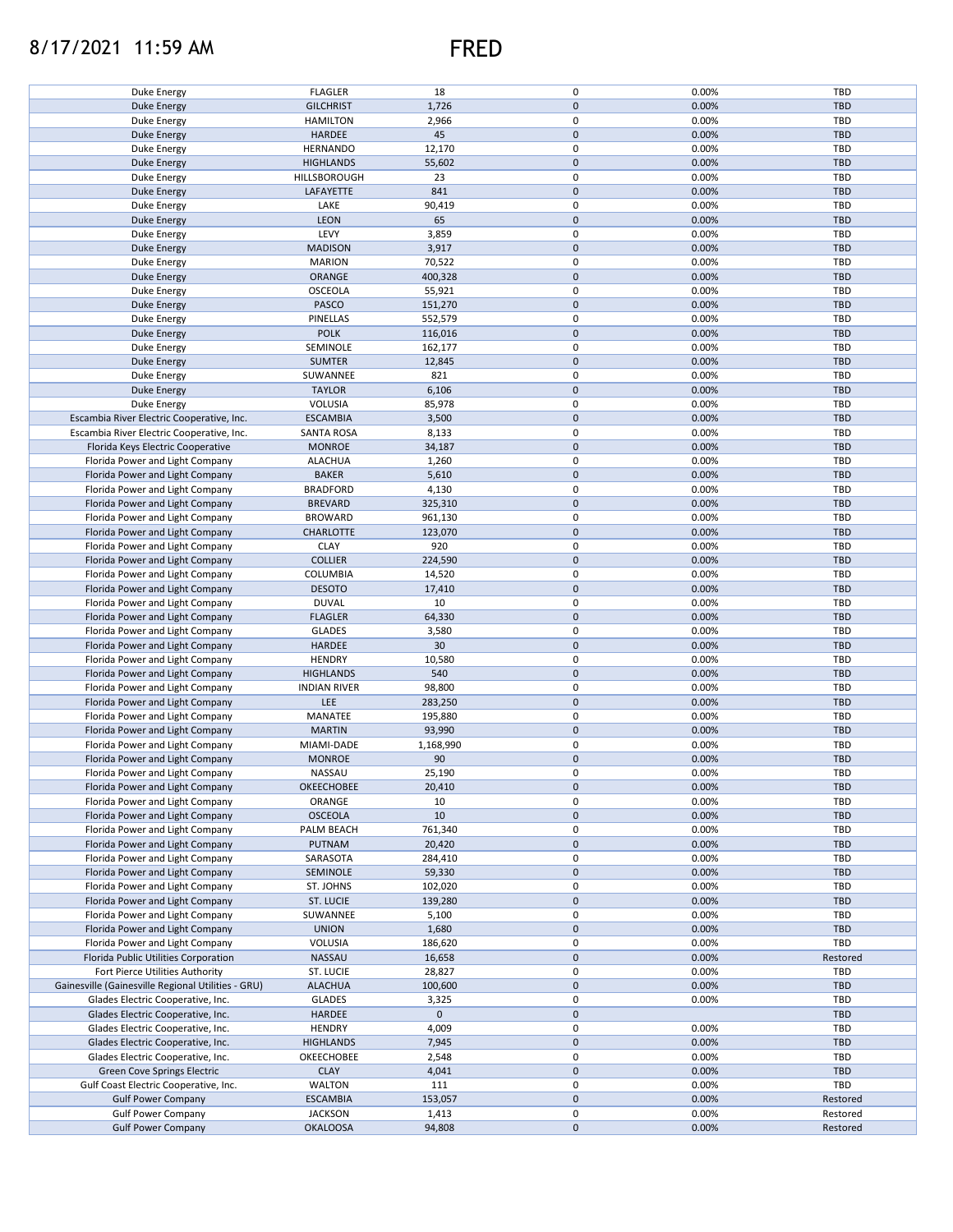## 8/17/2021 11:59 AM FRED



| Duke Energy                                        | <b>FLAGLER</b>      | 18          | 0                   | 0.00% | TBD        |
|----------------------------------------------------|---------------------|-------------|---------------------|-------|------------|
| <b>Duke Energy</b>                                 | <b>GILCHRIST</b>    | 1,726       | $\pmb{0}$           | 0.00% | <b>TBD</b> |
| Duke Energy                                        | <b>HAMILTON</b>     | 2,966       | 0                   | 0.00% | TBD        |
|                                                    |                     |             |                     |       |            |
| Duke Energy                                        | HARDEE              | 45          | $\mathbf 0$         | 0.00% | <b>TBD</b> |
| Duke Energy                                        | <b>HERNANDO</b>     | 12,170      | 0                   | 0.00% | TBD        |
| Duke Energy                                        | <b>HIGHLANDS</b>    | 55,602      | $\mathbf 0$         | 0.00% | <b>TBD</b> |
| Duke Energy                                        | HILLSBOROUGH        | 23          | 0                   | 0.00% | TBD        |
|                                                    |                     |             |                     |       |            |
| Duke Energy                                        | LAFAYETTE           | 841         | $\mathbf 0$         | 0.00% | <b>TBD</b> |
| Duke Energy                                        | LAKE                | 90,419      | 0                   | 0.00% | TBD        |
| Duke Energy                                        | LEON                | 65          | $\mathbf 0$         | 0.00% | <b>TBD</b> |
|                                                    |                     |             |                     |       |            |
| Duke Energy                                        | LEVY                | 3,859       | 0                   | 0.00% | TBD        |
| <b>Duke Energy</b>                                 | <b>MADISON</b>      | 3,917       | $\mathsf{O}\xspace$ | 0.00% | <b>TBD</b> |
| Duke Energy                                        | <b>MARION</b>       | 70,522      | 0                   | 0.00% | TBD        |
| <b>Duke Energy</b>                                 | ORANGE              | 400,328     | $\mathbf 0$         | 0.00% | <b>TBD</b> |
|                                                    |                     |             |                     |       |            |
| Duke Energy                                        | OSCEOLA             | 55,921      | $\pmb{0}$           | 0.00% | TBD        |
| <b>Duke Energy</b>                                 | PASCO               | 151,270     | $\mathsf{O}\xspace$ | 0.00% | <b>TBD</b> |
| Duke Energy                                        | PINELLAS            | 552,579     | 0                   | 0.00% | TBD        |
|                                                    |                     |             |                     |       |            |
| <b>Duke Energy</b>                                 | <b>POLK</b>         | 116,016     | $\mathsf{O}\xspace$ | 0.00% | <b>TBD</b> |
| Duke Energy                                        | SEMINOLE            | 162,177     | $\pmb{0}$           | 0.00% | TBD        |
| <b>Duke Energy</b>                                 | <b>SUMTER</b>       | 12,845      | $\pmb{0}$           | 0.00% | <b>TBD</b> |
|                                                    |                     |             | $\mathbf 0$         |       | <b>TBD</b> |
| Duke Energy                                        | SUWANNEE            | 821         |                     | 0.00% |            |
| <b>Duke Energy</b>                                 | <b>TAYLOR</b>       | 6,106       | $\pmb{0}$           | 0.00% | <b>TBD</b> |
| Duke Energy                                        | VOLUSIA             | 85,978      | 0                   | 0.00% | <b>TBD</b> |
| Escambia River Electric Cooperative, Inc.          | <b>ESCAMBIA</b>     |             | $\pmb{0}$           |       | <b>TBD</b> |
|                                                    |                     | 3,500       |                     | 0.00% |            |
| Escambia River Electric Cooperative, Inc.          | <b>SANTA ROSA</b>   | 8,133       | 0                   | 0.00% | TBD        |
| Florida Keys Electric Cooperative                  | <b>MONROE</b>       | 34,187      | $\pmb{0}$           | 0.00% | <b>TBD</b> |
| Florida Power and Light Company                    | <b>ALACHUA</b>      | 1,260       | 0                   | 0.00% | TBD        |
|                                                    |                     |             |                     |       |            |
| Florida Power and Light Company                    | <b>BAKER</b>        | 5,610       | $\pmb{0}$           | 0.00% | <b>TBD</b> |
| Florida Power and Light Company                    | <b>BRADFORD</b>     | 4,130       | 0                   | 0.00% | TBD        |
| Florida Power and Light Company                    | <b>BREVARD</b>      | 325,310     | $\pmb{0}$           | 0.00% | <b>TBD</b> |
|                                                    |                     |             |                     |       |            |
| Florida Power and Light Company                    | <b>BROWARD</b>      | 961,130     | 0                   | 0.00% | TBD        |
| Florida Power and Light Company                    | CHARLOTTE           | 123,070     | $\pmb{0}$           | 0.00% | <b>TBD</b> |
| Florida Power and Light Company                    | <b>CLAY</b>         | 920         | 0                   | 0.00% | TBD        |
|                                                    |                     |             |                     |       |            |
| Florida Power and Light Company                    | <b>COLLIER</b>      | 224,590     | $\mathbf 0$         | 0.00% | <b>TBD</b> |
| Florida Power and Light Company                    | COLUMBIA            | 14,520      | 0                   | 0.00% | TBD        |
| Florida Power and Light Company                    | <b>DESOTO</b>       | 17,410      | $\mathsf{O}\xspace$ | 0.00% | <b>TBD</b> |
| Florida Power and Light Company                    | <b>DUVAL</b>        | 10          | 0                   | 0.00% | TBD        |
|                                                    |                     |             |                     |       |            |
| Florida Power and Light Company                    | <b>FLAGLER</b>      | 64,330      | $\mathsf{O}\xspace$ | 0.00% | <b>TBD</b> |
| Florida Power and Light Company                    | GLADES              | 3,580       | 0                   | 0.00% | TBD        |
| Florida Power and Light Company                    | HARDEE              | 30          | $\mathsf{O}\xspace$ | 0.00% | <b>TBD</b> |
|                                                    |                     |             |                     |       |            |
| Florida Power and Light Company                    | <b>HENDRY</b>       | 10,580      | 0                   | 0.00% | TBD        |
| Florida Power and Light Company                    | <b>HIGHLANDS</b>    | 540         | $\mathbf 0$         | 0.00% | <b>TBD</b> |
| Florida Power and Light Company                    | <b>INDIAN RIVER</b> | 98,800      | 0                   | 0.00% | TBD        |
|                                                    |                     |             |                     |       |            |
| Florida Power and Light Company                    | LEE                 | 283,250     | $\pmb{0}$           | 0.00% | <b>TBD</b> |
| Florida Power and Light Company                    | MANATEE             | 195,880     | 0                   | 0.00% | TBD        |
| Florida Power and Light Company                    | <b>MARTIN</b>       | 93,990      | $\mathbf 0$         | 0.00% | <b>TBD</b> |
|                                                    |                     |             |                     |       |            |
| Florida Power and Light Company                    | MIAMI-DADE          | 1,168,990   | 0                   | 0.00% | TBD        |
| Florida Power and Light Company                    | <b>MONROE</b>       | 90          | $\pmb{0}$           | 0.00% | <b>TBD</b> |
| Florida Power and Light Company                    | NASSAU              | 25,190      | $\pmb{0}$           | 0.00% | TBD        |
|                                                    |                     |             | $\pmb{0}$           | 0.00% | <b>TBD</b> |
| Florida Power and Light Company                    | OKEECHOBEE          | 20,410      |                     |       |            |
| Florida Power and Light Company                    | ORANGE              | 10          | 0                   | 0.00% | TBD        |
| Florida Power and Light Company                    | <b>OSCEOLA</b>      | 10          | $\pmb{0}$           | 0.00% | <b>TBD</b> |
| Florida Power and Light Company                    | PALM BEACH          | 761,340     | 0                   | 0.00% | TBD        |
|                                                    |                     |             |                     |       |            |
| Florida Power and Light Company                    | <b>PUTNAM</b>       | 20,420      | $\pmb{0}$           | 0.00% | <b>TBD</b> |
| Florida Power and Light Company                    | SARASOTA            | 284,410     | 0                   | 0.00% | TBD        |
| Florida Power and Light Company                    | SEMINOLE            | 59,330      | $\mathbf 0$         | 0.00% | <b>TBD</b> |
| Florida Power and Light Company                    |                     |             |                     |       |            |
|                                                    | ST. JOHNS           | 102,020     | 0                   | 0.00% | TBD        |
| Florida Power and Light Company                    | ST. LUCIE           | 139,280     | $\pmb{0}$           | 0.00% | <b>TBD</b> |
| Florida Power and Light Company                    | SUWANNEE            | 5,100       | 0                   | 0.00% | TBD        |
| Florida Power and Light Company                    | <b>UNION</b>        | 1,680       | $\mathbf 0$         | 0.00% | <b>TBD</b> |
|                                                    |                     |             |                     |       |            |
| Florida Power and Light Company                    | VOLUSIA             | 186,620     | 0                   | 0.00% | TBD        |
| Florida Public Utilities Corporation               | <b>NASSAU</b>       | 16,658      | $\pmb{0}$           | 0.00% | Restored   |
| Fort Pierce Utilities Authority                    | ST. LUCIE           | 28,827      | 0                   | 0.00% | TBD        |
|                                                    |                     |             |                     |       |            |
| Gainesville (Gainesville Regional Utilities - GRU) | <b>ALACHUA</b>      | 100,600     | $\pmb{0}$           | 0.00% | <b>TBD</b> |
| Glades Electric Cooperative, Inc.                  | <b>GLADES</b>       | 3,325       | $\pmb{0}$           | 0.00% | TBD        |
| Glades Electric Cooperative, Inc.                  | HARDEE              | $\mathbf 0$ | $\pmb{0}$           |       | <b>TBD</b> |
|                                                    |                     |             |                     |       |            |
| Glades Electric Cooperative, Inc.                  | <b>HENDRY</b>       | 4,009       | 0                   | 0.00% | TBD        |
| Glades Electric Cooperative, Inc.                  | <b>HIGHLANDS</b>    | 7,945       | $\pmb{0}$           | 0.00% | <b>TBD</b> |
| Glades Electric Cooperative, Inc.                  | OKEECHOBEE          | 2,548       | $\pmb{0}$           | 0.00% | TBD        |
|                                                    |                     |             | $\pmb{0}$           |       |            |
| Green Cove Springs Electric                        | <b>CLAY</b>         | 4,041       |                     | 0.00% | TBD        |
| Gulf Coast Electric Cooperative, Inc.              | <b>WALTON</b>       | 111         | 0                   | 0.00% | TBD        |
| <b>Gulf Power Company</b>                          | <b>ESCAMBIA</b>     | 153,057     | $\pmb{0}$           | 0.00% | Restored   |
| <b>Gulf Power Company</b>                          | <b>JACKSON</b>      | 1,413       | 0                   | 0.00% | Restored   |
|                                                    |                     |             |                     |       |            |
| <b>Gulf Power Company</b>                          | <b>OKALOOSA</b>     | 94,808      | $\mathsf{O}\xspace$ | 0.00% | Restored   |